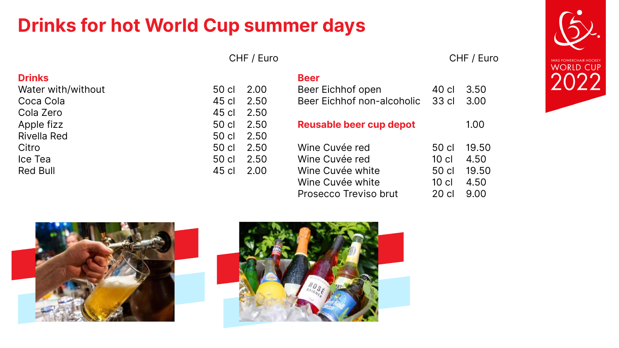# **Drinks for hot World Cup summer days**

CHF / Euro CHF / Euro

## **Drinks**

Water with/without Coca Cola Cola Zero Apple fizz Rivella Red Citro Ice Tea Red Bull

| 50 cl | 2.00 |
|-------|------|
| 45 cl | 2.50 |
| 45 cl | 2.50 |
| 50 cl | 2.50 |
| 50 cl | 2.50 |
| 50 cl | 2.50 |
| 50 cl | 2.50 |
| 45 cl | 2.00 |



| <b>Beer</b><br><b>Beer Eichhof open</b><br><b>Beer Eichhof non-alcoholic</b>                      | 40 cl<br>33 cl                              | 3.50<br>3.00                           |
|---------------------------------------------------------------------------------------------------|---------------------------------------------|----------------------------------------|
| <b>Reusable beer cup depot</b>                                                                    |                                             | 1.00                                   |
| Wine Cuvée red<br>Wine Cuvée red<br>Wine Cuvée white<br>Wine Cuvée white<br>Prosecco Treviso brut | 50 cl<br>10 cl<br>50 cl<br>$10$ cl<br>20 cl | 19.50<br>4.50<br>19.50<br>4.50<br>9.00 |

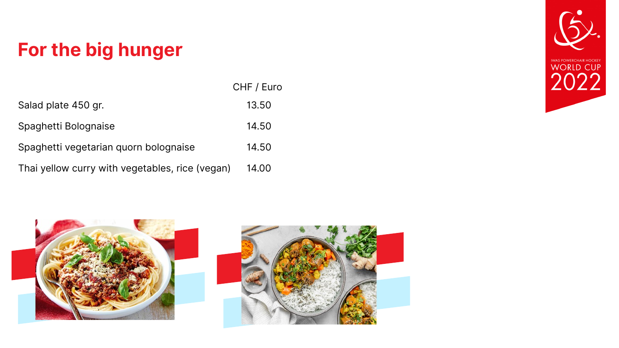# For the big hunger

|                                                 | CHF / Euro |
|-------------------------------------------------|------------|
| Salad plate 450 gr.                             | 13.50      |
| Spaghetti Bolognaise                            | 14.50      |
| Spaghetti vegetarian quorn bolognaise           | 14.50      |
| Thai yellow curry with vegetables, rice (vegan) | 14.00      |



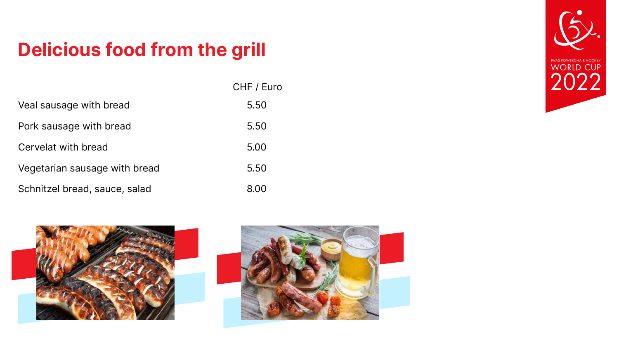# **Delicious food from the grill**

|                               | CHF / Euro |
|-------------------------------|------------|
| Veal sausage with bread       | 5.50       |
| Pork sausage with bread       | 5.50       |
| Cervelat with bread           | 5.00       |
| Vegetarian sausage with bread | 5.50       |
| Schnitzel bread, sauce, salad | 8.00       |





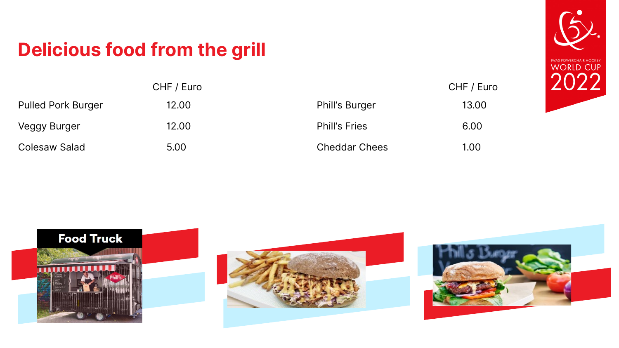# **Delicious food from the grill**

|                           | CHF / Euro |
|---------------------------|------------|
| <b>Pulled Pork Burger</b> | 12.00      |
| Veggy Burger              | 12.00      |
| <b>Colesaw Salad</b>      | 5.00       |





|                       | CHF / Euro |
|-----------------------|------------|
| <b>Phill's Burger</b> | 13.00      |
| <b>Phill's Fries</b>  | 6.00       |
| <b>Cheddar Chees</b>  | 1.00       |

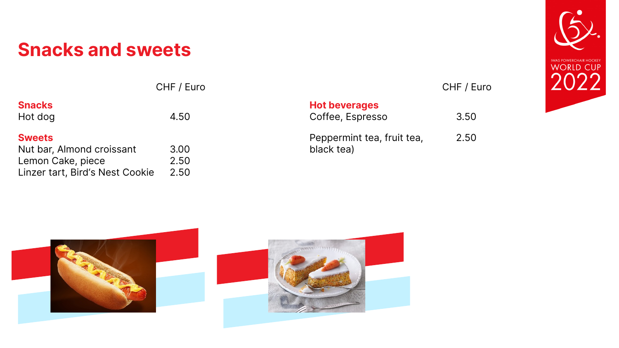## **Snacks and sweets**

CHF / Euro CHF / Euro

## **Sweets**

| <b>Snacks</b> |      |
|---------------|------|
| Hot dog       | 4.50 |

## **Hot beverages**

| Nut bar, Almond croissant       | 3.00 |
|---------------------------------|------|
| Lemon Cake, piece               | 2.50 |
| Linzer tart, Bird's Nest Cookie | 2.50 |





## Coffee, Espresso 3.50

## Peppermint tea, fruit tea, black tea) 2.50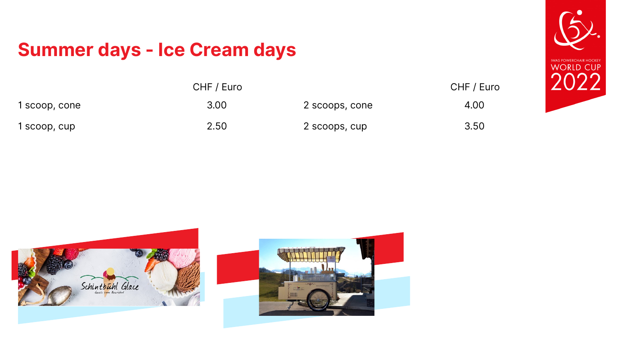# Summer days - Ice Cream days

|               | CHF / Euro |
|---------------|------------|
| 1 scoop, cone | 3.00       |
| 1 scoop, cup  | 2.50       |







|                | CHF / Euro |
|----------------|------------|
| 2 scoops, cone | 4.00       |
| 2 scoops, cup  | 3.50       |